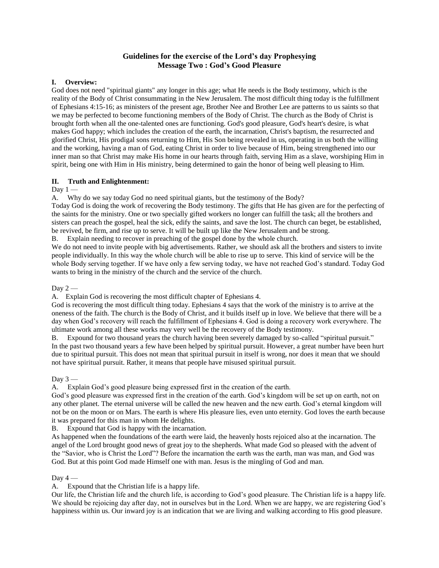# **Guidelines for the exercise of the Lord's day Prophesying Message Two : God's Good Pleasure**

### **I. Overview:**

God does not need "spiritual giants" any longer in this age; what He needs is the Body testimony, which is the reality of the Body of Christ consummating in the New Jerusalem. The most difficult thing today is the fulfillment of Ephesians 4:15-16; as ministers of the present age, Brother Nee and Brother Lee are patterns to us saints so that we may be perfected to become functioning members of the Body of Christ. The church as the Body of Christ is brought forth when all the one-talented ones are functioning. God's good pleasure, God's heart's desire, is what makes God happy; which includes the creation of the earth, the incarnation, Christ's baptism, the resurrected and glorified Christ, His prodigal sons returning to Him, His Son being revealed in us, operating in us both the willing and the working, having a man of God, eating Christ in order to live because of Him, being strengthened into our inner man so that Christ may make His home in our hearts through faith, serving Him as a slave, worshiping Him in spirit, being one with Him in His ministry, being determined to gain the honor of being well pleasing to Him.

# **II. Truth and Enlightenment:**

Day  $1 -$ 

A. Why do we say today God no need spiritual giants, but the testimony of the Body?

Today God is doing the work of recovering the Body testimony. The gifts that He has given are for the perfecting of the saints for the ministry. One or two specially gifted workers no longer can fulfill the task; all the brothers and sisters can preach the gospel, heal the sick, edify the saints, and save the lost. The church can beget, be established, be revived, be firm, and rise up to serve. It will be built up like the New Jerusalem and be strong.

B. Explain needing to recover in preaching of the gospel done by the whole church.

We do not need to invite people with big advertisements. Rather, we should ask all the brothers and sisters to invite people individually. In this way the whole church will be able to rise up to serve. This kind of service will be the whole Body serving together. If we have only a few serving today, we have not reached God's standard. Today God wants to bring in the ministry of the church and the service of the church.

Day  $2-$ 

A. Explain God is recovering the most difficult chapter of Ephesians 4.

God is recovering the most difficult thing today. Ephesians 4 says that the work of the ministry is to arrive at the oneness of the faith. The church is the Body of Christ, and it builds itself up in love. We believe that there will be a day when God's recovery will reach the fulfillment of Ephesians 4. God is doing a recovery work everywhere. The ultimate work among all these works may very well be the recovery of the Body testimony.

B. Expound for two thousand years the church having been severely damaged by so-called "spiritual pursuit." In the past two thousand years a few have been helped by spiritual pursuit. However, a great number have been hurt due to spiritual pursuit. This does not mean that spiritual pursuit in itself is wrong, nor does it mean that we should not have spiritual pursuit. Rather, it means that people have misused spiritual pursuit.

Day  $3-$ 

A. Explain God's good pleasure being expressed first in the creation of the earth.

God's good pleasure was expressed first in the creation of the earth. God's kingdom will be set up on earth, not on any other planet. The eternal universe will be called the new heaven and the new earth. God's eternal kingdom will not be on the moon or on Mars. The earth is where His pleasure lies, even unto eternity. God loves the earth because it was prepared for this man in whom He delights.

B. Expound that God is happy with the incarnation.

As happened when the foundations of the earth were laid, the heavenly hosts rejoiced also at the incarnation. The angel of the Lord brought good news of great joy to the shepherds. What made God so pleased with the advent of the "Savior, who is Christ the Lord"? Before the incarnation the earth was the earth, man was man, and God was God. But at this point God made Himself one with man. Jesus is the mingling of God and man.

#### Day  $4-$

A. Expound that the Christian life is a happy life.

Our life, the Christian life and the church life, is according to God's good pleasure. The Christian life is a happy life. We should be rejoicing day after day, not in ourselves but in the Lord. When we are happy, we are registering God's happiness within us. Our inward joy is an indication that we are living and walking according to His good pleasure.